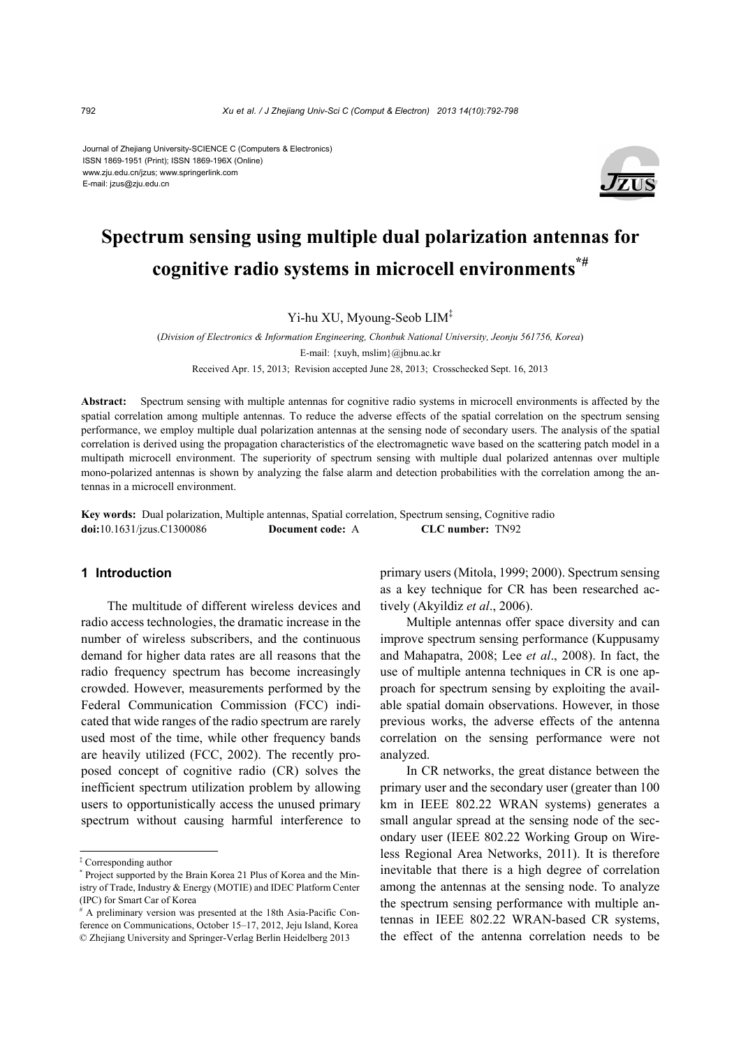#### Journal of Zhejiang University-SCIENCE C (Computers & Electronics) ISSN 1869-1951 (Print); ISSN 1869-196X (Online) www.zju.edu.cn/jzus; www.springerlink.com E-mail: jzus@zju.edu.cn



# **Spectrum sensing using multiple dual polarization antennas for cognitive radio systems in microcell environments\*#**

Yi-hu XU, Myoung-Seob LIM‡

(*Division of Electronics & Information Engineering, Chonbuk National University, Jeonju 561756, Korea*) E-mail: {xuyh, mslim}@jbnu.ac.kr Received Apr. 15, 2013; Revision accepted June 28, 2013; Crosschecked Sept. 16, 2013

**Abstract:** Spectrum sensing with multiple antennas for cognitive radio systems in microcell environments is affected by the spatial correlation among multiple antennas. To reduce the adverse effects of the spatial correlation on the spectrum sensing performance, we employ multiple dual polarization antennas at the sensing node of secondary users. The analysis of the spatial correlation is derived using the propagation characteristics of the electromagnetic wave based on the scattering patch model in a multipath microcell environment. The superiority of spectrum sensing with multiple dual polarized antennas over multiple mono-polarized antennas is shown by analyzing the false alarm and detection probabilities with the correlation among the antennas in a microcell environment.

**Key words:** Dual polarization, Multiple antennas, Spatial correlation, Spectrum sensing, Cognitive radio **doi:**10.1631/jzus.C1300086 **Document code:** A **CLC number:** TN92

## **1 Introduction**

The multitude of different wireless devices and radio access technologies, the dramatic increase in the number of wireless subscribers, and the continuous demand for higher data rates are all reasons that the radio frequency spectrum has become increasingly crowded. However, measurements performed by the Federal Communication Commission (FCC) indicated that wide ranges of the radio spectrum are rarely used most of the time, while other frequency bands are heavily utilized (FCC, 2002). The recently proposed concept of cognitive radio (CR) solves the inefficient spectrum utilization problem by allowing users to opportunistically access the unused primary spectrum without causing harmful interference to

primary users (Mitola, 1999; 2000). Spectrum sensing as a key technique for CR has been researched actively (Akyildiz *et al*., 2006).

Multiple antennas offer space diversity and can improve spectrum sensing performance (Kuppusamy and Mahapatra, 2008; Lee *et al*., 2008). In fact, the use of multiple antenna techniques in CR is one approach for spectrum sensing by exploiting the available spatial domain observations. However, in those previous works, the adverse effects of the antenna correlation on the sensing performance were not analyzed.

In CR networks, the great distance between the primary user and the secondary user (greater than 100 km in IEEE 802.22 WRAN systems) generates a small angular spread at the sensing node of the secondary user (IEEE 802.22 Working Group on Wireless Regional Area Networks, 2011). It is therefore inevitable that there is a high degree of correlation among the antennas at the sensing node. To analyze the spectrum sensing performance with multiple antennas in IEEE 802.22 WRAN-based CR systems, the effect of the antenna correlation needs to be

<sup>‡</sup> Corresponding author

<sup>\*</sup> Project supported by the Brain Korea 21 Plus of Korea and the Ministry of Trade, Industry & Energy (MOTIE) and IDEC Platform Center (IPC) for Smart Car of Korea

<sup>#</sup> A preliminary version was presented at the 18th Asia-Pacific Conference on Communications, October 15–17, 2012, Jeju Island, Korea © Zhejiang University and Springer-Verlag Berlin Heidelberg 2013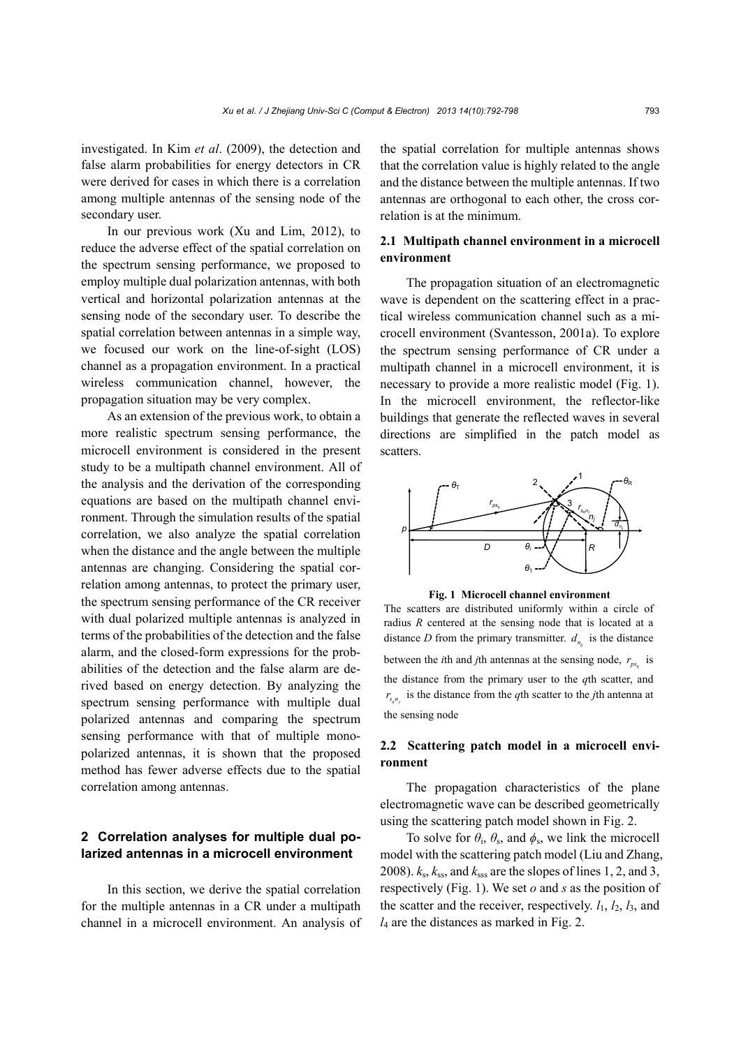investigated. In Kim *et al*. (2009), the detection and false alarm probabilities for energy detectors in CR were derived for cases in which there is a correlation among multiple antennas of the sensing node of the secondary user.

In our previous work (Xu and Lim, 2012), to reduce the adverse effect of the spatial correlation on the spectrum sensing performance, we proposed to employ multiple dual polarization antennas, with both vertical and horizontal polarization antennas at the sensing node of the secondary user. To describe the spatial correlation between antennas in a simple way, we focused our work on the line-of-sight (LOS) channel as a propagation environment. In a practical wireless communication channel, however, the propagation situation may be very complex.

As an extension of the previous work, to obtain a more realistic spectrum sensing performance, the microcell environment is considered in the present study to be a multipath channel environment. All of the analysis and the derivation of the corresponding equations are based on the multipath channel environment. Through the simulation results of the spatial correlation, we also analyze the spatial correlation when the distance and the angle between the multiple antennas are changing. Considering the spatial correlation among antennas, to protect the primary user, the spectrum sensing performance of the CR receiver with dual polarized multiple antennas is analyzed in terms of the probabilities of the detection and the false alarm, and the closed-form expressions for the probabilities of the detection and the false alarm are derived based on energy detection. By analyzing the spectrum sensing performance with multiple dual polarized antennas and comparing the spectrum sensing performance with that of multiple monopolarized antennas, it is shown that the proposed method has fewer adverse effects due to the spatial correlation among antennas.

# **2 Correlation analyses for multiple dual polarized antennas in a microcell environment**

In this section, we derive the spatial correlation for the multiple antennas in a CR under a multipath channel in a microcell environment. An analysis of the spatial correlation for multiple antennas shows that the correlation value is highly related to the angle and the distance between the multiple antennas. If two antennas are orthogonal to each other, the cross correlation is at the minimum.

## **2.1 Multipath channel environment in a microcell environment**

The propagation situation of an electromagnetic wave is dependent on the scattering effect in a practical wireless communication channel such as a microcell environment (Svantesson, 2001a). To explore the spectrum sensing performance of CR under a multipath channel in a microcell environment, it is necessary to provide a more realistic model (Fig. 1). In the microcell environment, the reflector-like buildings that generate the reflected waves in several directions are simplified in the patch model as scatters.



**Fig. 1 Microcell channel environment**

The scatters are distributed uniformly within a circle of radius *R* centered at the sensing node that is located at a distance *D* from the primary transmitter.  $d_{n_i}$  is the distance between the *i*th and *j*th antennas at the sensing node,  $r_{ps}$  is the distance from the primary user to the *q*th scatter, and  $r_{s_{a_n}}$  is the distance from the *q*th scatter to the *j*th antenna at the sensing node

## **2.2 Scattering patch model in a microcell environment**

The propagation characteristics of the plane electromagnetic wave can be described geometrically using the scattering patch model shown in Fig. 2.

To solve for  $\theta_i$ ,  $\theta_s$ , and  $\phi_s$ , we link the microcell model with the scattering patch model (Liu and Zhang, 2008).  $k_s$ ,  $k_{ss}$ , and  $k_{ss}$  are the slopes of lines 1, 2, and 3, respectively (Fig. 1). We set *o* and *s* as the position of the scatter and the receiver, respectively.  $l_1$ ,  $l_2$ ,  $l_3$ , and *l*4 are the distances as marked in Fig. 2.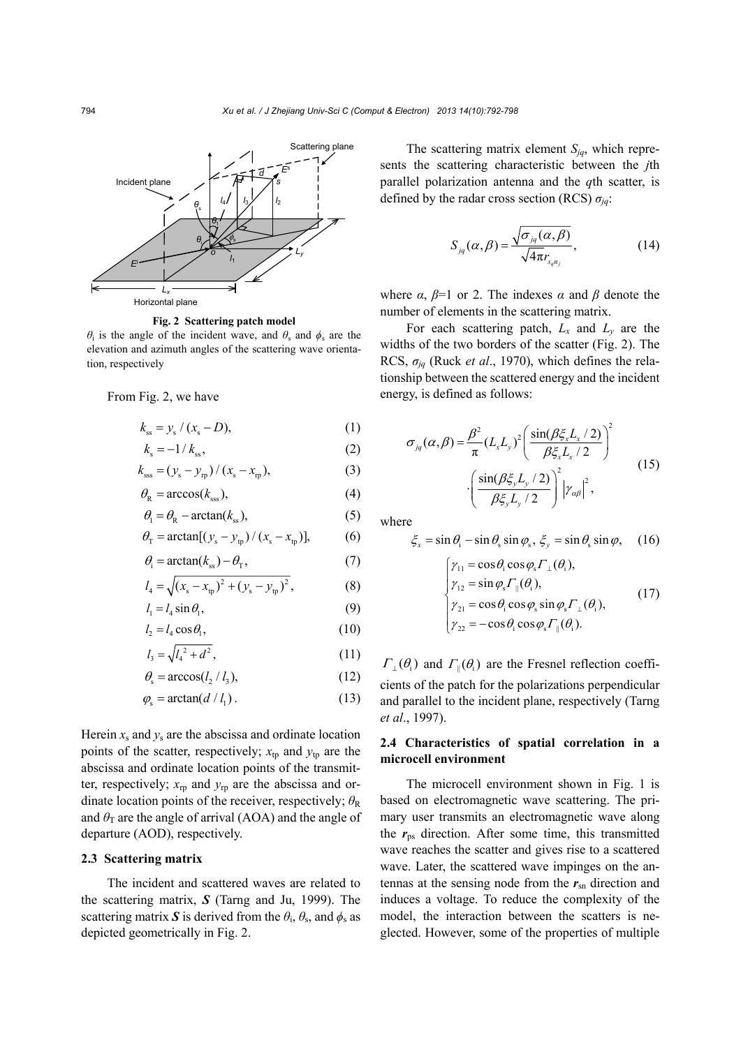

**Fig. 2 Scattering patch model** 

*θ*<sub>i</sub> is the angle of the incident wave, and *θ*<sub>c</sub> and *ϕ*<sub>c</sub> are the elevation and azimuth angles of the scattering wave orientation, respectively

From Fig. 2, we have

$$
k_{ss} = y_s / (x_s - D), \tag{1}
$$

$$
k_{\rm s} = -1/k_{\rm ss},\tag{2}
$$

$$
k_{\rm sss} = (y_{\rm s} - y_{\rm rp}) / (x_{\rm s} - x_{\rm rp}),
$$
 (3)

$$
\theta_{\rm R} = \arccos(k_{\rm sss}),\tag{4}
$$

$$
\theta_{\rm l} = \theta_{\rm R} - \arctan(k_{\rm ss}),\tag{5}
$$

$$
\theta_{\rm T} = \arctan[(y_{\rm s} - y_{\rm tp})/(x_{\rm s} - x_{\rm tp})],
$$
 (6)

$$
\theta_{\rm i} = \arctan(k_{\rm ss}) - \theta_{\rm T},\tag{7}
$$

$$
l_4 = \sqrt{(x_s - x_{\text{tp}})^2 + (y_s - y_{\text{tp}})^2},
$$
 (8)

$$
l_1 = l_4 \sin \theta_1, \tag{9}
$$

$$
l_2 = l_4 \cos \theta_1, \tag{10}
$$

$$
l_3 = \sqrt{l_4^2 + d^2} \,,\tag{11}
$$

$$
\theta_{s} = \arccos(l_{2} / l_{3}),\tag{12}
$$

$$
\varphi_{\rm s} = \arctan(d/l_1). \tag{13}
$$

Herein  $x_s$  and  $y_s$  are the abscissa and ordinate location points of the scatter, respectively;  $x_{tp}$  and  $y_{tp}$  are the abscissa and ordinate location points of the transmitter, respectively;  $x_{\text{rp}}$  and  $y_{\text{rp}}$  are the abscissa and ordinate location points of the receiver, respectively;  $\theta_R$ and  $\theta_T$  are the angle of arrival (AOA) and the angle of departure (AOD), respectively.

#### **2.3 Scattering matrix**

The incident and scattered waves are related to the scattering matrix, *S* (Tarng and Ju, 1999). The scattering matrix S is derived from the  $\theta_i$ ,  $\theta_s$ , and  $\phi_s$  as depicted geometrically in Fig. 2.

The scattering matrix element *Sjq*, which represents the scattering characteristic between the *j*th parallel polarization antenna and the *q*th scatter, is defined by the radar cross section (RCS) *σjq*:

$$
S_{jq}(\alpha,\beta) = \frac{\sqrt{\sigma_{jq}(\alpha,\beta)}}{\sqrt{4\pi}r_{s_{q}n_j}},
$$
\n(14)

where  $\alpha$ ,  $\beta$ =1 or 2. The indexes  $\alpha$  and  $\beta$  denote the number of elements in the scattering matrix.

For each scattering patch,  $L_x$  and  $L_y$  are the widths of the two borders of the scatter (Fig. 2). The RCS,  $\sigma_{iq}$  (Ruck *et al.*, 1970), which defines the relationship between the scattered energy and the incident energy, is defined as follows:

$$
\sigma_{jq}(\alpha,\beta) = \frac{\beta^2}{\pi} (L_x L_y)^2 \left( \frac{\sin(\beta \xi_x L_x / 2)}{\beta \xi_x L_x / 2} \right)^2
$$
  

$$
\cdot \left( \frac{\sin(\beta \xi_y L_y / 2)}{\beta \xi_y L_y / 2} \right)^2 \left| \gamma_{\alpha\beta} \right|^2,
$$
 (15)

where

$$
\xi_x = \sin \theta_i - \sin \theta_s \sin \varphi_s, \xi_y = \sin \theta_s \sin \varphi, \quad (16)
$$

$$
\begin{cases}\n\gamma_{11} = \cos \theta_i \cos \varphi_s \Gamma_{\perp}(\theta_i), \\
\gamma_{12} = \sin \varphi_s \Gamma_{\parallel}(\theta_i), \\
\gamma_{21} = \cos \theta_i \cos \varphi_s \sin \varphi_s \Gamma_{\perp}(\theta_i), \\
\gamma_{22} = -\cos \theta_i \cos \varphi_s \Gamma_{\parallel}(\theta_i). \end{cases} \quad (17)
$$

 $\Gamma_{\perp}(\theta_i)$  and  $\Gamma_{\parallel}(\theta_i)$  are the Fresnel reflection coefficients of the patch for the polarizations perpendicular and parallel to the incident plane, respectively (Tarng *et al*., 1997).

## **2.4 Characteristics of spatial correlation in a microcell environment**

The microcell environment shown in Fig. 1 is based on electromagnetic wave scattering. The primary user transmits an electromagnetic wave along the  $r_{ps}$  direction. After some time, this transmitted wave reaches the scatter and gives rise to a scattered wave. Later, the scattered wave impinges on the antennas at the sensing node from the  $r_{sn}$  direction and induces a voltage. To reduce the complexity of the model, the interaction between the scatters is neglected. However, some of the properties of multiple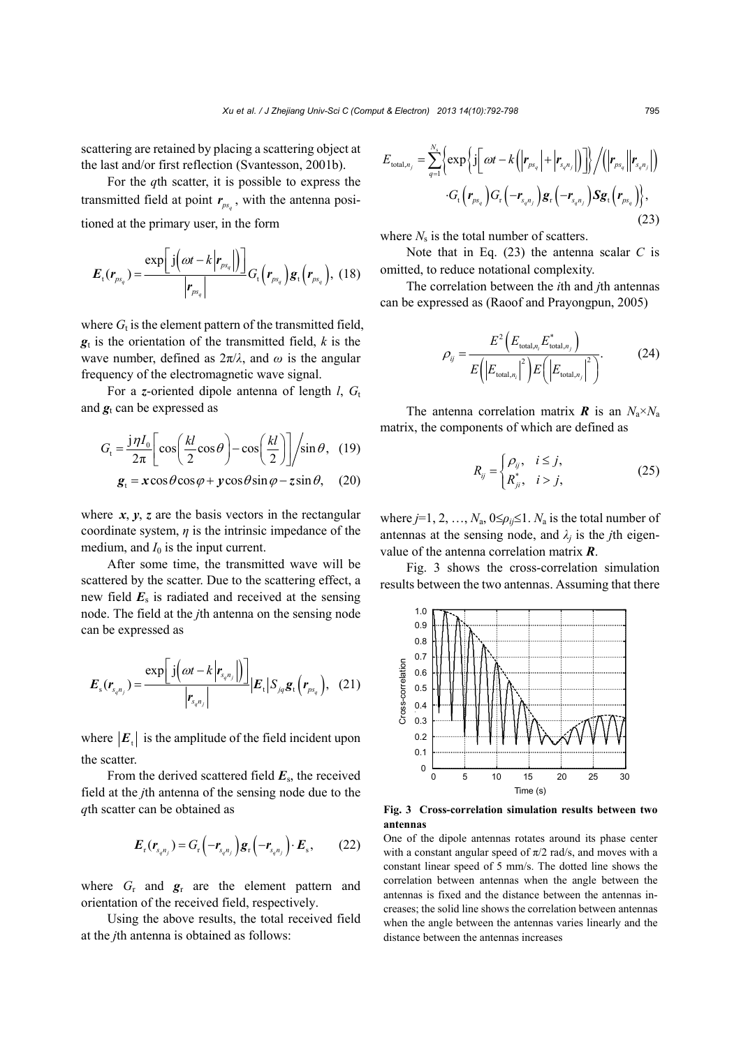scattering are retained by placing a scattering object at the last and/or first reflection (Svantesson, 2001b).

For the *q*th scatter, it is possible to express the transmitted field at point  $r_{ps}$ , with the antenna positioned at the primary user, in the form

$$
E_{t}(r_{ps_{q}})=\frac{\exp\left[\ j\left(\omega t-k\left|r_{ps_{q}}\right|\right)\right]}{\left|r_{ps_{q}}\right|}G_{t}\left(r_{ps_{q}}\right)g_{t}\left(r_{ps_{q}}\right),\,\,(18)
$$

where  $G_t$  is the element pattern of the transmitted field, *g*t is the orientation of the transmitted field, *k* is the wave number, defined as  $2\pi/\lambda$ , and  $\omega$  is the angular frequency of the electromagnetic wave signal.

For a *z*-oriented dipole antenna of length *l*,  $G_t$ and  $g_t$  can be expressed as

$$
G_{\rm t} = \frac{j\eta I_0}{2\pi} \left[ \cos\left(\frac{kl}{2}\cos\theta\right) - \cos\left(\frac{kl}{2}\right) \right] / \sin\theta, \quad (19)
$$

$$
g_{\rm t} = x\cos\theta\cos\varphi + y\cos\theta\sin\varphi - z\sin\theta, \quad (20)
$$

where  $x$ ,  $y$ ,  $z$  are the basis vectors in the rectangular coordinate system,  $\eta$  is the intrinsic impedance of the medium, and  $I_0$  is the input current.

After some time, the transmitted wave will be scattered by the scatter. Due to the scattering effect, a new field  $E<sub>s</sub>$  is radiated and received at the sensing node. The field at the *j*th antenna on the sensing node can be expressed as

$$
E_{s}(r_{s_{q}n_{j}})=\frac{\exp\left[j\left(\omega t-k\left|r_{s_{q}n_{j}}\right|\right)\right]}{\left|r_{s_{q}n_{j}}\right|}\Big|E_{t}\Big|S_{jq}g_{t}\Big(r_{ps_{q}}\Big), \quad (21)
$$

where  $|E_t|$  is the amplitude of the field incident upon the scatter.

From the derived scattered field *E*s, the received field at the *j*th antenna of the sensing node due to the *q*th scatter can be obtained as

$$
\boldsymbol{E}_{\mathrm{r}}(\boldsymbol{r}_{s_{q}n_{j}})=G_{\mathrm{r}}\left(-\boldsymbol{r}_{s_{q}n_{j}}\right)\boldsymbol{g}_{\mathrm{r}}\left(-\boldsymbol{r}_{s_{q}n_{j}}\right)\cdot\boldsymbol{E}_{\mathrm{s}},\qquad(22)
$$

where  $G_r$  and  $g_r$  are the element pattern and orientation of the received field, respectively.

Using the above results, the total received field at the *j*th antenna is obtained as follows:

$$
E_{\text{total},n_j} = \sum_{q=1}^{N_s} \left\{ \exp \left\{ j \left[ \omega t - k \left( \left| \mathbf{r}_{ps_q} \right| + \left| \mathbf{r}_{s_q n_j} \right| \right) \right] \right\} / \left( \left| \mathbf{r}_{ps_q} \right| \left| \mathbf{r}_{s_q n_j} \right| \right) \right\} \cdot G_t \left( \mathbf{r}_{ps_q} \right) G_r \left( -\mathbf{r}_{s_q n_j} \right) \mathbf{g}_r \left( -\mathbf{r}_{s_q n_j} \right) \mathbf{S} \mathbf{g}_t \left( \mathbf{r}_{ps_q} \right) \right\},
$$
\n(23)

where  $N_s$  is the total number of scatters.

Note that in Eq. (23) the antenna scalar *C* is omitted, to reduce notational complexity.

The correlation between the *i*th and *j*th antennas can be expressed as (Raoof and Prayongpun, 2005)

$$
\rho_{ij} = \frac{E^2 \left( E_{\text{total}, n_i} E_{\text{total}, n_j}^* \right)}{E \left( \left| E_{\text{total}, n_i} \right|^2 \right) E \left( \left| E_{\text{total}, n_j} \right|^2 \right)}.
$$
(24)

The antenna correlation matrix *R* is an  $N_a \times N_a$ matrix, the components of which are defined as

$$
R_{ij} = \begin{cases} \rho_{ij}, & i \leq j, \\ R_{ji}^*, & i > j, \end{cases} \tag{25}
$$

where  $j=1, 2, ..., N_a$ ,  $0 \leq \rho_{ij} \leq 1$ .  $N_a$  is the total number of antennas at the sensing node, and  $\lambda_i$  is the *j*th eigenvalue of the antenna correlation matrix *R*.

Fig. 3 shows the cross-correlation simulation results between the two antennas. Assuming that there



**Fig. 3 Cross-correlation simulation results between two antennas**

One of the dipole antennas rotates around its phase center with a constant angular speed of  $\pi/2$  rad/s, and moves with a constant linear speed of 5 mm/s. The dotted line shows the correlation between antennas when the angle between the antennas is fixed and the distance between the antennas increases; the solid line shows the correlation between antennas when the angle between the antennas varies linearly and the distance between the antennas increases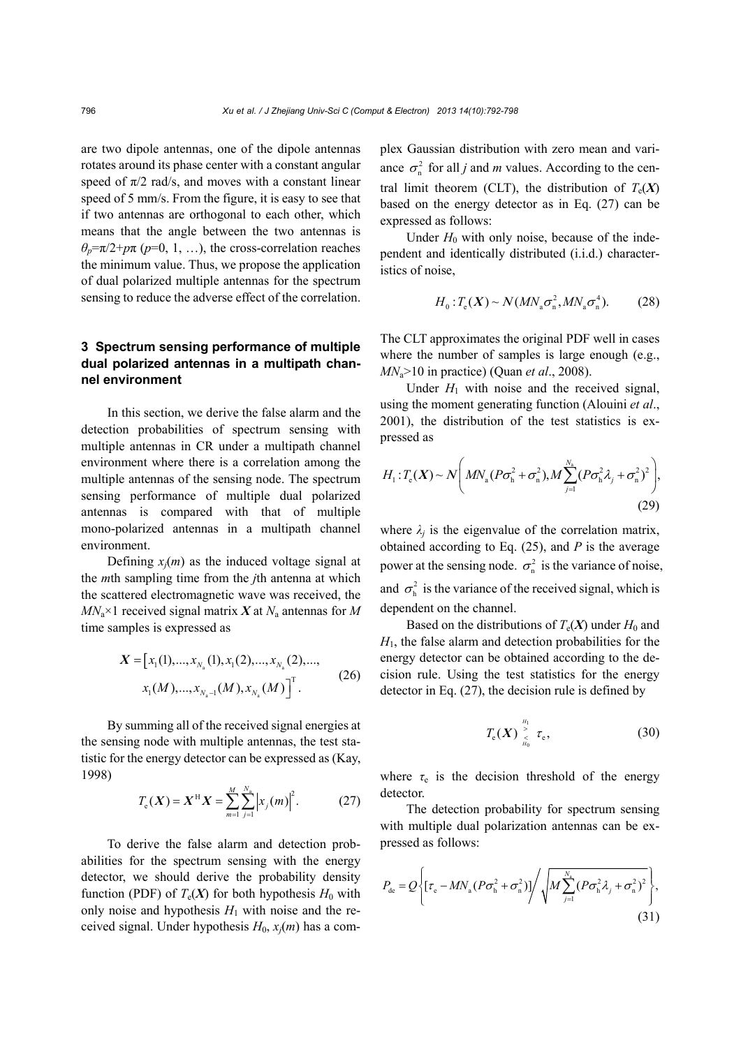are two dipole antennas, one of the dipole antennas rotates around its phase center with a constant angular speed of  $\pi/2$  rad/s, and moves with a constant linear speed of 5 mm/s. From the figure, it is easy to see that if two antennas are orthogonal to each other, which means that the angle between the two antennas is  $\theta_p = \pi/2 + p\pi$  (*p*=0, 1, …), the cross-correlation reaches the minimum value. Thus, we propose the application of dual polarized multiple antennas for the spectrum sensing to reduce the adverse effect of the correlation.

# **3 Spectrum sensing performance of multiple dual polarized antennas in a multipath channel environment**

In this section, we derive the false alarm and the detection probabilities of spectrum sensing with multiple antennas in CR under a multipath channel environment where there is a correlation among the multiple antennas of the sensing node. The spectrum sensing performance of multiple dual polarized antennas is compared with that of multiple mono-polarized antennas in a multipath channel environment.

Defining  $x_i(m)$  as the induced voltage signal at the *m*th sampling time from the *j*th antenna at which the scattered electromagnetic wave was received, the  $MN_a$ <sup> $\times$ </sup>1 received signal matrix *X* at  $N_a$  antennas for *M* time samples is expressed as

$$
X = [x_1(1), ..., x_{N_a}(1), x_1(2), ..., x_{N_a}(2), ...,
$$
  
\n
$$
x_1(M), ..., x_{N_a-1}(M), x_{N_a}(M)]^T.
$$
 (26)

By summing all of the received signal energies at the sensing node with multiple antennas, the test statistic for the energy detector can be expressed as (Kay, 1998)

$$
T_{\rm e}(X) = X^{\rm H} X = \sum_{m=1}^{M} \sum_{j=1}^{N_{\rm a}} \left| x_j(m) \right|^2. \tag{27}
$$

To derive the false alarm and detection probabilities for the spectrum sensing with the energy detector, we should derive the probability density function (PDF) of  $T_e(X)$  for both hypothesis  $H_0$  with only noise and hypothesis  $H_1$  with noise and the received signal. Under hypothesis  $H_0$ ,  $x_j(m)$  has a complex Gaussian distribution with zero mean and variance  $\sigma_n^2$  for all *j* and *m* values. According to the central limit theorem (CLT), the distribution of  $T_e(X)$ based on the energy detector as in Eq. (27) can be expressed as follows:

Under  $H_0$  with only noise, because of the independent and identically distributed (i.i.d.) characteristics of noise,

$$
H_0: T_e(X) \sim N(MN_a \sigma_n^2, MN_a \sigma_n^4). \tag{28}
$$

The CLT approximates the original PDF well in cases where the number of samples is large enough (e.g., *MN*a>10 in practice) (Quan *et al*., 2008).

Under  $H_1$  with noise and the received signal, using the moment generating function (Alouini *et al*., 2001), the distribution of the test statistics is expressed as

$$
H_1: T_e(X) \sim N\bigg(MN_a(P\sigma_h^2 + \sigma_n^2), M\sum_{j=1}^{N_a} (P\sigma_h^2 \lambda_j + \sigma_n^2)^2\bigg),
$$
\n(29)

where  $\lambda_j$  is the eigenvalue of the correlation matrix, obtained according to Eq. (25), and *P* is the average power at the sensing node.  $\sigma_n^2$  is the variance of noise, and  $\sigma_h^2$  is the variance of the received signal, which is dependent on the channel.

Based on the distributions of  $T_e(X)$  under  $H_0$  and *H*1, the false alarm and detection probabilities for the energy detector can be obtained according to the decision rule. Using the test statistics for the energy detector in Eq. (27), the decision rule is defined by

$$
T_{\mathrm{e}}(\boldsymbol{X}) \, \mathop{\stackrel{H_1}{\underset{H_0}{\times}}}\, \tau_{\mathrm{e}}, \tag{30}
$$

where  $\tau_e$  is the decision threshold of the energy detector.

The detection probability for spectrum sensing with multiple dual polarization antennas can be expressed as follows:

$$
P_{\text{de}} = Q \left\{ \left[ \tau_{\text{e}} - MN_{\text{a}} (P \sigma_{\text{h}}^2 + \sigma_{\text{n}}^2) \right] / \sqrt{M \sum_{j=1}^{N_{\text{a}}} (P \sigma_{\text{h}}^2 \lambda_j + \sigma_{\text{n}}^2)^2} \right\},\tag{31}
$$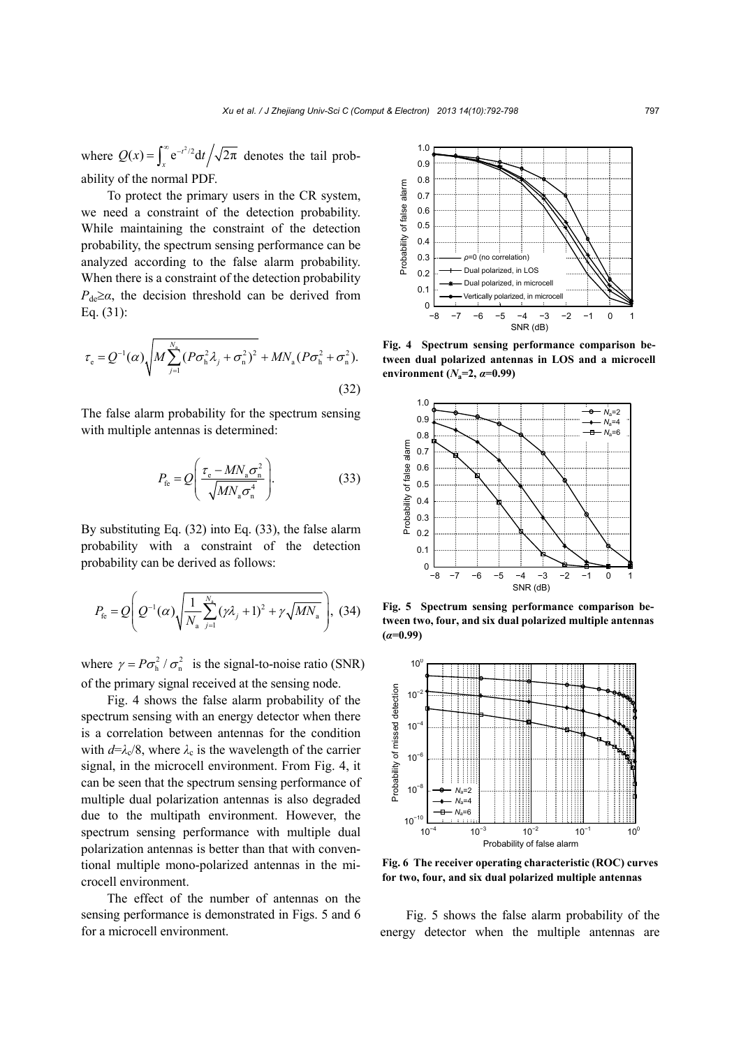where  $Q(x) = \int_x^{\infty} e^{-t^2/2} dt / \sqrt{2\pi}$  denotes the tail probability of the normal PDF.

To protect the primary users in the CR system, we need a constraint of the detection probability. While maintaining the constraint of the detection probability, the spectrum sensing performance can be analyzed according to the false alarm probability. When there is a constraint of the detection probability  $P_{de} \geq \alpha$ , the decision threshold can be derived from Eq. (31):

$$
\tau_{\rm e} = Q^{-1}(\alpha) \sqrt{M \sum_{j=1}^{N_{\rm a}} (P \sigma_{\rm h}^2 \lambda_j + \sigma_{\rm n}^2)^2} + MN_{\rm a} (P \sigma_{\rm h}^2 + \sigma_{\rm n}^2).
$$
\n(32)

The false alarm probability for the spectrum sensing with multiple antennas is determined:

$$
P_{\text{fe}} = Q \left( \frac{\tau_{\text{e}} - M N_{\text{a}} \sigma_{\text{n}}^2}{\sqrt{M N_{\text{a}} \sigma_{\text{n}}^4}} \right). \tag{33}
$$

By substituting Eq. (32) into Eq. (33), the false alarm probability with a constraint of the detection probability can be derived as follows:

$$
P_{\text{fe}} = Q \left( Q^{-1}(\alpha) \sqrt{\frac{1}{N_{\text{a}}} \sum_{j=1}^{N_{\text{a}}} (\gamma \lambda_j + 1)^2 + \gamma \sqrt{MN_{\text{a}}}} \right), (34)
$$

where  $\gamma = P\sigma_h^2 / \sigma_n^2$  is the signal-to-noise ratio (SNR) of the primary signal received at the sensing node.

Fig. 4 shows the false alarm probability of the spectrum sensing with an energy detector when there is a correlation between antennas for the condition with  $d=\lambda_c/8$ , where  $\lambda_c$  is the wavelength of the carrier signal, in the microcell environment. From Fig. 4, it can be seen that the spectrum sensing performance of multiple dual polarization antennas is also degraded due to the multipath environment. However, the spectrum sensing performance with multiple dual polarization antennas is better than that with conventional multiple mono-polarized antennas in the microcell environment.

The effect of the number of antennas on the sensing performance is demonstrated in Figs. 5 and 6 for a microcell environment.



**Fig. 4 Spectrum sensing performance comparison between dual polarized antennas in LOS and a microcell environment** ( $N_a=2$ ,  $\alpha=0.99$ )



**Fig. 5 Spectrum sensing performance comparison between two, four, and six dual polarized multiple antennas** 



**Fig. 6 The receiver operating characteristic (ROC) curves**

Fig. 5 shows the false alarm probability of the energy detector when the multiple antennas are